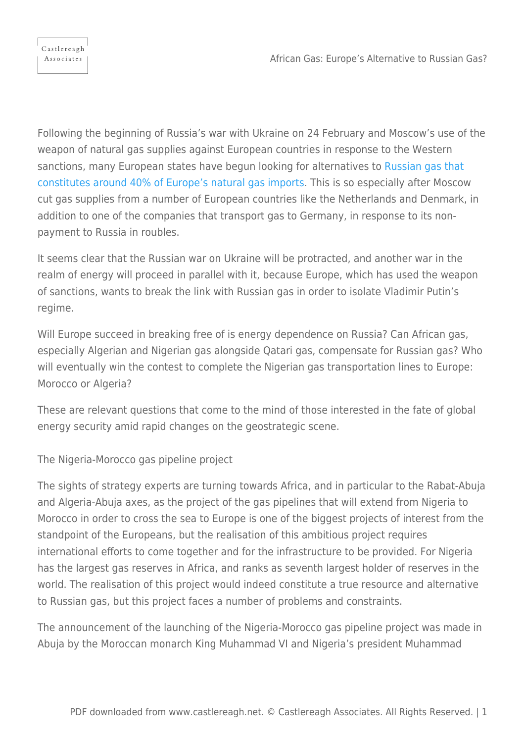Following the beginning of Russia's war with Ukraine on 24 February and Moscow's use of the weapon of natural gas supplies against European countries in response to the Western sanctions, many European states have begun looking for alternatives to [Russian gas that](https://www.bbc.co.uk/news/58888451) [constitutes around 40% of Europe's natural gas imports](https://www.bbc.co.uk/news/58888451). This is so especially after Moscow cut gas supplies from a number of European countries like the Netherlands and Denmark, in addition to one of the companies that transport gas to Germany, in response to its nonpayment to Russia in roubles.

It seems clear that the Russian war on Ukraine will be protracted, and another war in the realm of energy will proceed in parallel with it, because Europe, which has used the weapon of sanctions, wants to break the link with Russian gas in order to isolate Vladimir Putin's regime.

Will Europe succeed in breaking free of is energy dependence on Russia? Can African gas, especially Algerian and Nigerian gas alongside Qatari gas, compensate for Russian gas? Who will eventually win the contest to complete the Nigerian gas transportation lines to Europe: Morocco or Algeria?

These are relevant questions that come to the mind of those interested in the fate of global energy security amid rapid changes on the geostrategic scene.

The Nigeria-Morocco gas pipeline project

The sights of strategy experts are turning towards Africa, and in particular to the Rabat-Abuja and Algeria-Abuja axes, as the project of the gas pipelines that will extend from Nigeria to Morocco in order to cross the sea to Europe is one of the biggest projects of interest from the standpoint of the Europeans, but the realisation of this ambitious project requires international efforts to come together and for the infrastructure to be provided. For Nigeria has the largest gas reserves in Africa, and ranks as seventh largest holder of reserves in the world. The realisation of this project would indeed constitute a true resource and alternative to Russian gas, but this project faces a number of problems and constraints.

The announcement of the launching of the Nigeria-Morocco gas pipeline project was made in Abuja by the Moroccan monarch King Muhammad VI and Nigeria's president Muhammad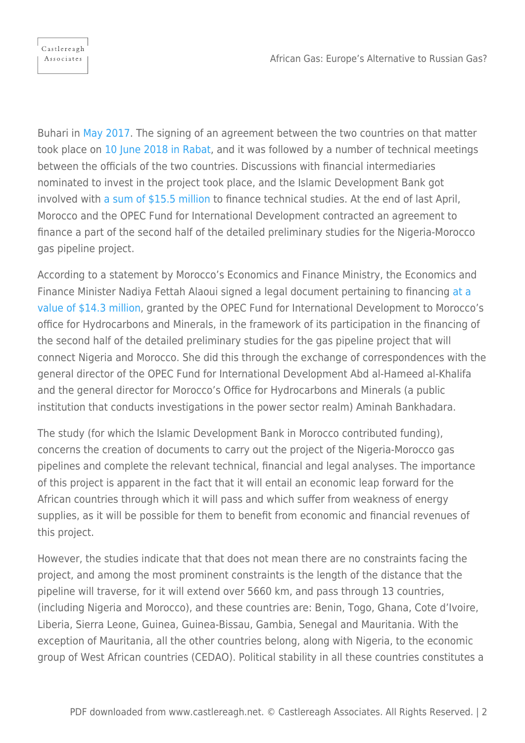Buhari in [May 2017.](https://www.africannewsagency.com/agence-de-presse-africaine/morocco-nigeria-morocco-gas-pipeline-project-on-track-19abf284-d867-5abd-92b6-35f6c156b508/) The signing of an agreement between the two countries on that matter took place on [10 June 2018 in Rabat](https://www.moroccoworldnews.com/2022/06/349446/nigerian-government-approves-proposal-for-nigeria-morocco-gas-pipeline), and it was followed by a number of technical meetings between the officials of the two countries. Discussions with financial intermediaries nominated to invest in the project took place, and the Islamic Development Bank got involved with [a sum of \\$15.5 million](https://www.isdb.org/news/signature-of-financing-agreements-related-to-the-front-end-engineering-design-study-project-for-nigeria-morocco-gas-pipeline) to finance technical studies. At the end of last April, Morocco and the OPEC Fund for International Development contracted an agreement to finance a part of the second half of the detailed preliminary studies for the Nigeria-Morocco gas pipeline project.

According to a statement by Morocco's Economics and Finance Ministry, the Economics and Finance Minister Nadiya Fettah Alaoui signed a legal document pertaining to financing [at a](https://www.moroccoworldnews.com/2022/06/349446/nigerian-government-approves-proposal-for-nigeria-morocco-gas-pipeline) [value of \\$14.3 million,](https://www.moroccoworldnews.com/2022/06/349446/nigerian-government-approves-proposal-for-nigeria-morocco-gas-pipeline) granted by the OPEC Fund for International Development to Morocco's office for Hydrocarbons and Minerals, in the framework of its participation in the financing of the second half of the detailed preliminary studies for the gas pipeline project that will connect Nigeria and Morocco. She did this through the exchange of correspondences with the general director of the OPEC Fund for International Development Abd al-Hameed al-Khalifa and the general director for Morocco's Office for Hydrocarbons and Minerals (a public institution that conducts investigations in the power sector realm) Aminah Bankhadara.

The study (for which the Islamic Development Bank in Morocco contributed funding), concerns the creation of documents to carry out the project of the Nigeria-Morocco gas pipelines and complete the relevant technical, financial and legal analyses. The importance of this project is apparent in the fact that it will entail an economic leap forward for the African countries through which it will pass and which suffer from weakness of energy supplies, as it will be possible for them to benefit from economic and financial revenues of this project.

However, the studies indicate that that does not mean there are no constraints facing the project, and among the most prominent constraints is the length of the distance that the pipeline will traverse, for it will extend over 5660 km, and pass through 13 countries, (including Nigeria and Morocco), and these countries are: Benin, Togo, Ghana, Cote d'Ivoire, Liberia, Sierra Leone, Guinea, Guinea-Bissau, Gambia, Senegal and Mauritania. With the exception of Mauritania, all the other countries belong, along with Nigeria, to the economic group of West African countries (CEDAO). Political stability in all these countries constitutes a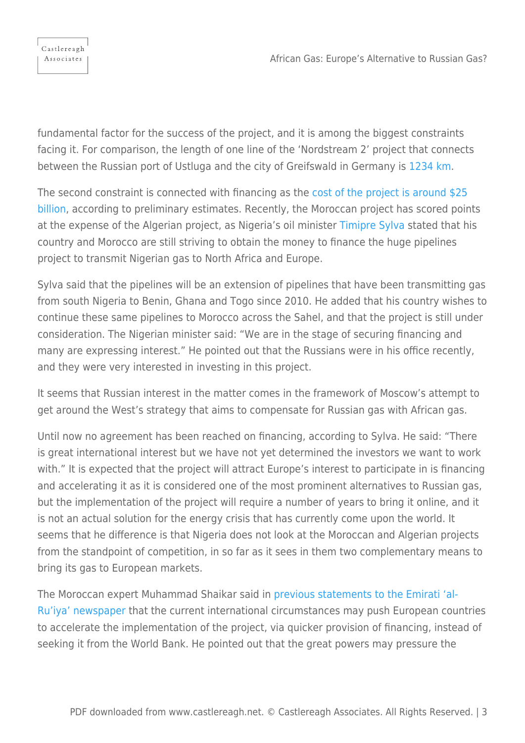

fundamental factor for the success of the project, and it is among the biggest constraints facing it. For comparison, the length of one line of the 'Nordstream 2' project that connects between the Russian port of Ustluga and the city of Greifswald in Germany is [1234 km.](https://www.reuters.com/markets/commodities/nord-stream-2-says-it-has-started-filling-second-line-with-natural-gas-2021-12-17/)

The second constraint is connected with financing as the [cost of the project is around \\$25](https://www.icirnigeria.org/opecs-feasibility-studies-support-for-25bn-nigeria-morocco-gas-pipeline-signals-hope-of-nigeria-as-gas-hub/) [billion,](https://www.icirnigeria.org/opecs-feasibility-studies-support-for-25bn-nigeria-morocco-gas-pipeline-signals-hope-of-nigeria-as-gas-hub/) according to preliminary estimates. Recently, the Moroccan project has scored points at the expense of the Algerian project, as Nigeria's oil minister [Timipre Sylva](https://radarr.africa/nigeria-morocco-gas-pipeline-project-there-is-a-lot-of-international-interest-investors-interest-in-the-project-timipre-sylva-says/) stated that his country and Morocco are still striving to obtain the money to finance the huge pipelines project to transmit Nigerian gas to North Africa and Europe.

Sylva said that the pipelines will be an extension of pipelines that have been transmitting gas from south Nigeria to Benin, Ghana and Togo since 2010. He added that his country wishes to continue these same pipelines to Morocco across the Sahel, and that the project is still under consideration. The Nigerian minister said: "We are in the stage of securing financing and many are expressing interest." He pointed out that the Russians were in his office recently, and they were very interested in investing in this project.

It seems that Russian interest in the matter comes in the framework of Moscow's attempt to get around the West's strategy that aims to compensate for Russian gas with African gas.

Until now no agreement has been reached on financing, according to Sylva. He said: "There is great international interest but we have not yet determined the investors we want to work with." It is expected that the project will attract Europe's interest to participate in is financing and accelerating it as it is considered one of the most prominent alternatives to Russian gas, but the implementation of the project will require a number of years to bring it online, and it is not an actual solution for the energy crisis that has currently come upon the world. It seems that he difference is that Nigeria does not look at the Moroccan and Algerian projects from the standpoint of competition, in so far as it sees in them two complementary means to bring its gas to European markets.

The Moroccan expert Muhammad Shaikar said in [previous statements to the Emirati 'al-](https://www.alroeya.com/60-66/2284817-%D8%AE%D8%B7-%D8%A7%D9%84%D8%BA%D8%A7%D8%B2-%D8%A7%D9%84%D9%86%D9%8A%D8%AC%D9%8A%D8%B1%D9%8A-%D9%87%D9%84-%D9%8A%D9%86%D9%82%D8%B0-%D8%A3%D9%88%D8%B1%D9%88%D8%A8%D8%A7-%D9%85%D9%86-%D8%A7%D9%84%D8%AA%D8%A8%D8%B9%D9%8A%D8%A9-%D8%A7%D9%84%D8%B1%D9%88%D8%B3%D9%8A%D8%A9)[Ru'iya' newspaper](https://www.alroeya.com/60-66/2284817-%D8%AE%D8%B7-%D8%A7%D9%84%D8%BA%D8%A7%D8%B2-%D8%A7%D9%84%D9%86%D9%8A%D8%AC%D9%8A%D8%B1%D9%8A-%D9%87%D9%84-%D9%8A%D9%86%D9%82%D8%B0-%D8%A3%D9%88%D8%B1%D9%88%D8%A8%D8%A7-%D9%85%D9%86-%D8%A7%D9%84%D8%AA%D8%A8%D8%B9%D9%8A%D8%A9-%D8%A7%D9%84%D8%B1%D9%88%D8%B3%D9%8A%D8%A9) that the current international circumstances may push European countries to accelerate the implementation of the project, via quicker provision of financing, instead of seeking it from the World Bank. He pointed out that the great powers may pressure the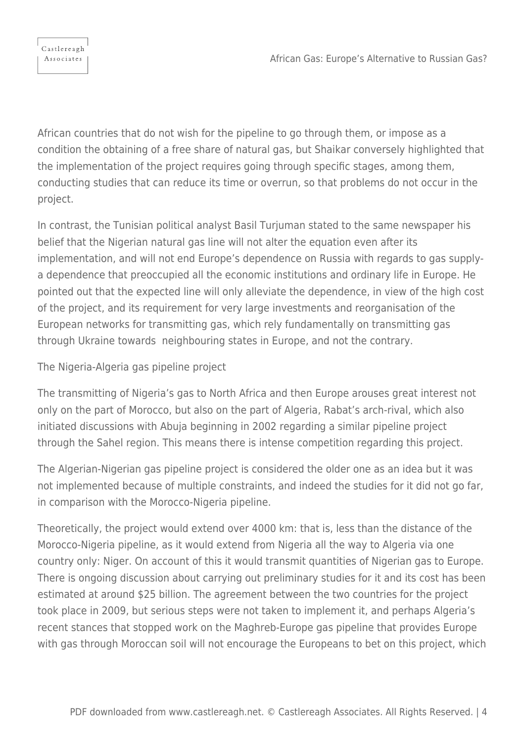

African countries that do not wish for the pipeline to go through them, or impose as a condition the obtaining of a free share of natural gas, but Shaikar conversely highlighted that the implementation of the project requires going through specific stages, among them, conducting studies that can reduce its time or overrun, so that problems do not occur in the project.

In contrast, the Tunisian political analyst Basil Turjuman stated to the same newspaper his belief that the Nigerian natural gas line will not alter the equation even after its implementation, and will not end Europe's dependence on Russia with regards to gas supplya dependence that preoccupied all the economic institutions and ordinary life in Europe. He pointed out that the expected line will only alleviate the dependence, in view of the high cost of the project, and its requirement for very large investments and reorganisation of the European networks for transmitting gas, which rely fundamentally on transmitting gas through Ukraine towards neighbouring states in Europe, and not the contrary.

The Nigeria-Algeria gas pipeline project

The transmitting of Nigeria's gas to North Africa and then Europe arouses great interest not only on the part of Morocco, but also on the part of Algeria, Rabat's arch-rival, which also initiated discussions with Abuja beginning in 2002 regarding a similar pipeline project through the Sahel region. This means there is intense competition regarding this project.

The Algerian-Nigerian gas pipeline project is considered the older one as an idea but it was not implemented because of multiple constraints, and indeed the studies for it did not go far, in comparison with the Morocco-Nigeria pipeline.

Theoretically, the project would extend over 4000 km: that is, less than the distance of the Morocco-Nigeria pipeline, as it would extend from Nigeria all the way to Algeria via one country only: Niger. On account of this it would transmit quantities of Nigerian gas to Europe. There is ongoing discussion about carrying out preliminary studies for it and its cost has been estimated at around \$25 billion. The agreement between the two countries for the project took place in 2009, but serious steps were not taken to implement it, and perhaps Algeria's recent stances that stopped work on the Maghreb-Europe gas pipeline that provides Europe with gas through Moroccan soil will not encourage the Europeans to bet on this project, which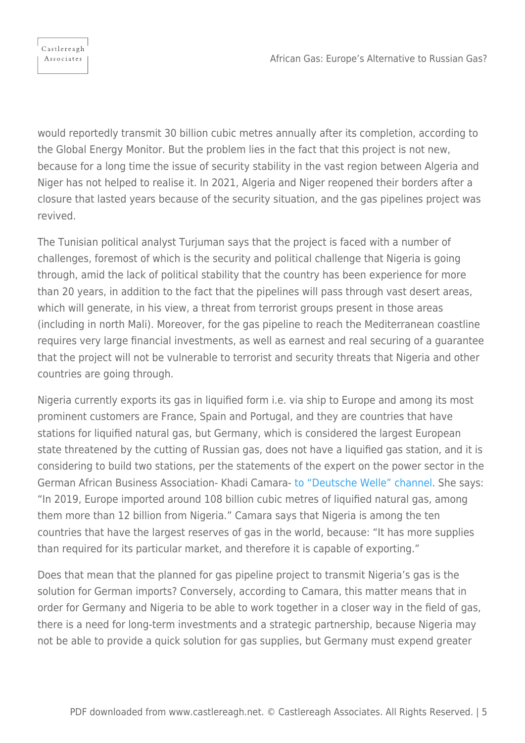would reportedly transmit 30 billion cubic metres annually after its completion, according to the Global Energy Monitor. But the problem lies in the fact that this project is not new, because for a long time the issue of security stability in the vast region between Algeria and Niger has not helped to realise it. In 2021, Algeria and Niger reopened their borders after a closure that lasted years because of the security situation, and the gas pipelines project was revived.

The Tunisian political analyst Turjuman says that the project is faced with a number of challenges, foremost of which is the security and political challenge that Nigeria is going through, amid the lack of political stability that the country has been experience for more than 20 years, in addition to the fact that the pipelines will pass through vast desert areas, which will generate, in his view, a threat from terrorist groups present in those areas (including in north Mali). Moreover, for the gas pipeline to reach the Mediterranean coastline requires very large financial investments, as well as earnest and real securing of a guarantee that the project will not be vulnerable to terrorist and security threats that Nigeria and other countries are going through.

Nigeria currently exports its gas in liquified form i.e. via ship to Europe and among its most prominent customers are France, Spain and Portugal, and they are countries that have stations for liquified natural gas, but Germany, which is considered the largest European state threatened by the cutting of Russian gas, does not have a liquified gas station, and it is considering to build two stations, per the statements of the expert on the power sector in the German African Business Association- Khadi Camara- [to "Deutsche Welle" channel](https://www.dw.com/en/europe-looks-to-africa-to-fill-natural-gas-gap/a-61017873). She says: "In 2019, Europe imported around 108 billion cubic metres of liquified natural gas, among them more than 12 billion from Nigeria." Camara says that Nigeria is among the ten countries that have the largest reserves of gas in the world, because: "It has more supplies than required for its particular market, and therefore it is capable of exporting."

Does that mean that the planned for gas pipeline project to transmit Nigeria's gas is the solution for German imports? Conversely, according to Camara, this matter means that in order for Germany and Nigeria to be able to work together in a closer way in the field of gas, there is a need for long-term investments and a strategic partnership, because Nigeria may not be able to provide a quick solution for gas supplies, but Germany must expend greater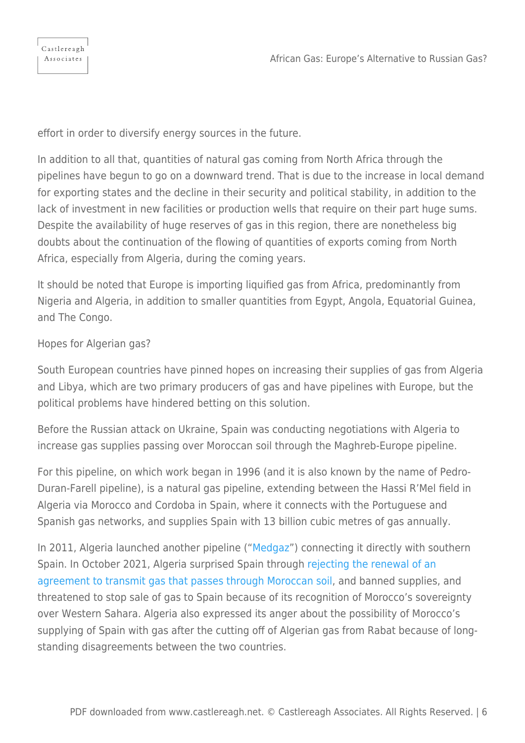effort in order to diversify energy sources in the future.

In addition to all that, quantities of natural gas coming from North Africa through the pipelines have begun to go on a downward trend. That is due to the increase in local demand for exporting states and the decline in their security and political stability, in addition to the lack of investment in new facilities or production wells that require on their part huge sums. Despite the availability of huge reserves of gas in this region, there are nonetheless big doubts about the continuation of the flowing of quantities of exports coming from North Africa, especially from Algeria, during the coming years.

It should be noted that Europe is importing liquified gas from Africa, predominantly from Nigeria and Algeria, in addition to smaller quantities from Egypt, Angola, Equatorial Guinea, and The Congo.

## Hopes for Algerian gas?

South European countries have pinned hopes on increasing their supplies of gas from Algeria and Libya, which are two primary producers of gas and have pipelines with Europe, but the political problems have hindered betting on this solution.

Before the Russian attack on Ukraine, Spain was conducting negotiations with Algeria to increase gas supplies passing over Moroccan soil through the Maghreb-Europe pipeline.

For this pipeline, on which work began in 1996 (and it is also known by the name of Pedro-Duran-Farell pipeline), is a natural gas pipeline, extending between the Hassi R'Mel field in Algeria via Morocco and Cordoba in Spain, where it connects with the Portuguese and Spanish gas networks, and supplies Spain with 13 billion cubic metres of gas annually.

In 2011, Algeria launched another pipeline (["Medgaz](https://www.offshore-technology.com/marketdata/medgaz-gas-pipeline-algeria/)") connecting it directly with southern Spain. In October 2021, Algeria surprised Spain through [rejecting the renewal of an](https://www.europarl.europa.eu/doceo/document/E-9-2021-005456_EN.html) [agreement to transmit gas that passes through Moroccan soil,](https://www.europarl.europa.eu/doceo/document/E-9-2021-005456_EN.html) and banned supplies, and threatened to stop sale of gas to Spain because of its recognition of Morocco's sovereignty over Western Sahara. Algeria also expressed its anger about the possibility of Morocco's supplying of Spain with gas after the cutting off of Algerian gas from Rabat because of longstanding disagreements between the two countries.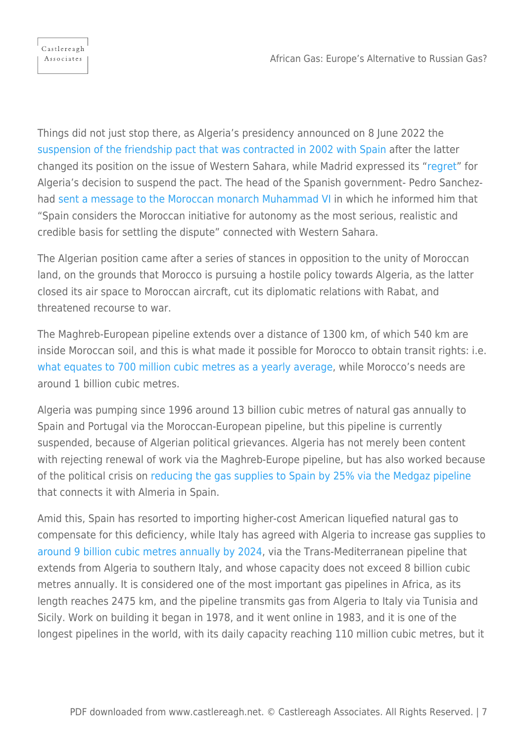Things did not just stop there, as Algeria's presidency announced on 8 June 2022 the [suspension of the friendship pact that was contracted in 2002 with Spain](https://www.reuters.com/world/africa/algeria-suspends-treaty-friendship-cooperation-with-spain-state-media-2022-06-08/) after the latter changed its position on the issue of Western Sahara, while Madrid expressed its "[regret"](https://www.aljazeera.com/news/2022/6/8/algeria-suspends-spain-co-operation-over-w-sahara-dispute) for Algeria's decision to suspend the pact. The head of the Spanish government- Pedro Sanchezhad [sent a message to the Moroccan monarch Muhammad VI](https://www.dw.com/en/morocco-says-spain-backs-its-designs-on-western-sahara/a-61182065) in which he informed him that "Spain considers the Moroccan initiative for autonomy as the most serious, realistic and credible basis for settling the dispute" connected with Western Sahara.

The Algerian position came after a series of stances in opposition to the unity of Moroccan land, on the grounds that Morocco is pursuing a hostile policy towards Algeria, as the latter closed its air space to Moroccan aircraft, cut its diplomatic relations with Rabat, and threatened recourse to war.

The Maghreb-European pipeline extends over a distance of 1300 km, of which 540 km are inside Moroccan soil, and this is what made it possible for Morocco to obtain transit rights: i.e. [what equates to 700 million cubic metres as a yearly average](https://english.alaraby.co.uk/analysis/political-fine-print-moroccos-gas-discovery), while Morocco's needs are around 1 billion cubic metres.

Algeria was pumping since 1996 around 13 billion cubic metres of natural gas annually to Spain and Portugal via the Moroccan-European pipeline, but this pipeline is currently suspended, because of Algerian political grievances. Algeria has not merely been content with rejecting renewal of work via the Maghreb-Europe pipeline, but has also worked because of the political crisis on [reducing the gas supplies to Spain by 25% via the Medgaz pipeline](https://www.moroccoworldnews.com/2022/05/348886/algeria-reduces-gas-supply-to-spain-by-25) that connects it with Almeria in Spain.

Amid this, Spain has resorted to importing higher-cost American liquefied natural gas to compensate for this deficiency, while Italy has agreed with Algeria to increase gas supplies to [around 9 billion cubic metres annually by 2024](https://www.upstreamonline.com/politics/algeria-agrees-to-boost-annual-piped-gas-sales-to-italy-by-up-to-9-billion-cubic-metres/2-1-1200876), via the Trans-Mediterranean pipeline that extends from Algeria to southern Italy, and whose capacity does not exceed 8 billion cubic metres annually. It is considered one of the most important gas pipelines in Africa, as its length reaches 2475 km, and the pipeline transmits gas from Algeria to Italy via Tunisia and Sicily. Work on building it began in 1978, and it went online in 1983, and it is one of the longest pipelines in the world, with its daily capacity reaching 110 million cubic metres, but it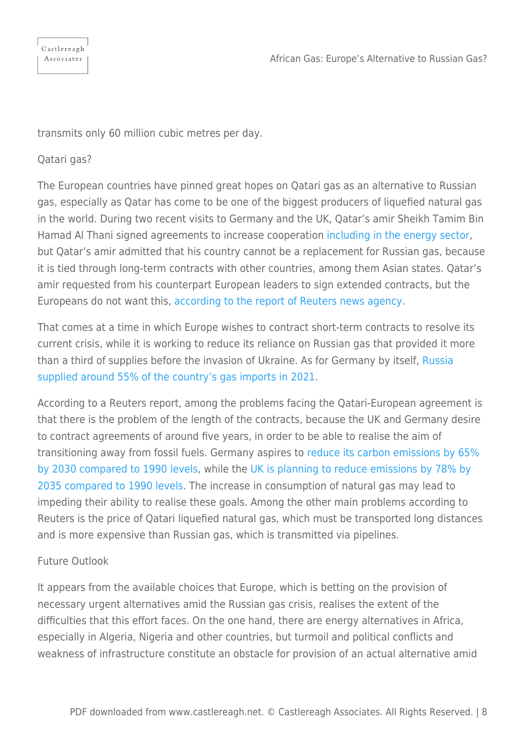| Castlereagh |
|-------------|
| Associates  |
|             |

transmits only 60 million cubic metres per day.

## Qatari gas?

The European countries have pinned great hopes on Qatari gas as an alternative to Russian gas, especially as Qatar has come to be one of the biggest producers of liquefied natural gas in the world. During two recent visits to Germany and the UK, Qatar's amir Sheikh Tamim Bin Hamad Al Thani signed agreements to increase cooperatio[n including in the energy sector,](https://www.reuters.com/business/energy/germany-qatar-sign-energy-partnership-agreement-2022-05-20/) but Qatar's amir admitted that his country cannot be a replacement for Russian gas, because it is tied through long-term contracts with other countries, among them Asian states. Qatar's amir requested from his counterpart European leaders to sign extended contracts, but the Europeans do not want this, [according to the report of Reuters news agency](https://www.reuters.com/business/energy/exclusive-germany-qatar-odds-over-terms-talks-lng-supply-deal-sources-2022-05-09/).

That comes at a time in which Europe wishes to contract short-term contracts to resolve its current crisis, while it is working to reduce its reliance on Russian gas that provided it more than a third of supplies before the invasion of Ukraine. As for Germany by itself, [Russia](https://www.gov.uk/government/news/uk-enshrines-new-target-in-law-to-slash-emissions-by-78-by-2035) [supplied around 55% of the country's gas imports in 2021](https://www.gov.uk/government/news/uk-enshrines-new-target-in-law-to-slash-emissions-by-78-by-2035).

According to a Reuters report, among the problems facing the Qatari-European agreement is that there is the problem of the length of the contracts, because the UK and Germany desire to contract agreements of around five years, in order to be able to realise the aim of transitioning away from fossil fuels. Germany aspires to [reduce its carbon emissions by 65%](https://www.cleanenergywire.org/factsheets/germanys-greenhouse-gas-emissions-and-climate-targets#:~:text=Germany) [by 2030 compared to 1990 levels](https://www.cleanenergywire.org/factsheets/germanys-greenhouse-gas-emissions-and-climate-targets#:~:text=Germany), while the [UK is planning to reduce emissions by 78% by](https://www.gov.uk/government/news/uk-enshrines-new-target-in-law-to-slash-emissions-by-78-by-2035) [2035 compared to 1990 levels.](https://www.gov.uk/government/news/uk-enshrines-new-target-in-law-to-slash-emissions-by-78-by-2035) The increase in consumption of natural gas may lead to impeding their ability to realise these goals. Among the other main problems according to Reuters is the price of Qatari liquefied natural gas, which must be transported long distances and is more expensive than Russian gas, which is transmitted via pipelines.

## Future Outlook

It appears from the available choices that Europe, which is betting on the provision of necessary urgent alternatives amid the Russian gas crisis, realises the extent of the difficulties that this effort faces. On the one hand, there are energy alternatives in Africa, especially in Algeria, Nigeria and other countries, but turmoil and political conflicts and weakness of infrastructure constitute an obstacle for provision of an actual alternative amid